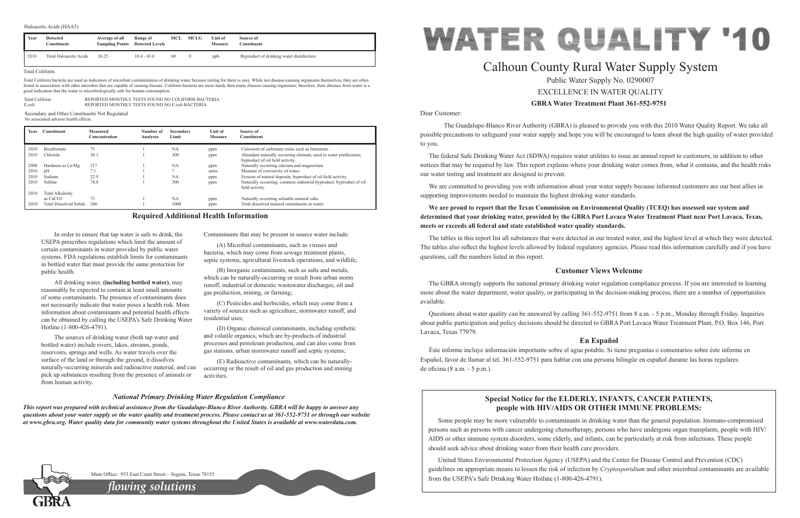## Dear Customer:

 The Guadalupe-Blanco River Authority (GBRA) is pleased to provide you with this 2010 Water Quality Report. We take all possible precautions to safeguard your water supply and hope you will be encouraged to learn about the high quality of water provided to you.

The federal Safe Drinking Water Act (SDWA) requires water utilities to issue an annual report to customers, in addition to other notices that may be required by law. This report explains where your drinking water comes from, what it contains, and the health risks our water testing and treatment are designed to prevent.

We are committed to providing you with information about your water supply because informed customers are our best allies in supporting improvements needed to maintain the highest drinking water standards.

The GBRA strongly supports the national primary drinking water regulation compliance process. If you are interested in learning more about the water department, water quality, or participating in the decision-making process, there are a number of opportunities available.

## **We are proud to report that the Texas Commission on Environmental Quality (TCEQ) has assessed our system and determined that your drinking water, provided by the GBRA Port Lavaca Water Treatment Plant near Port Lavaca, Texas, meets or exceeds all federal and state established water quality standards.**

The tables in this report list all substances that were detected in our treated water, and the highest level at which they were detected. The tables also reflect the highest levels allowed by federal regulatory agencies. Please read this information carefully and if you have questions, call the numbers listed in this report.

## **Customer Views Welcome**

Questions about water quality can be answered by calling 361-552-9751 from 8 a.m. - 5 p.m., Monday through Friday. Inquiries about public participation and policy decisions should be directed to GBRA Port Lavaca Water Treatment Plant, P.O. Box 146, Port Lavaca, Texas 77979.

## **En Español**

Éste informe incluye información importante sobre el agua potable. Si tiene preguntas o comentarios sobre éste informe en Español, favor de llamar al tel. 361-552-9751 para hablar con una persona bilingüe en español durante las horas regulares de oficina (8 a.m. - 5 p.m.).

In order to ensure that tap water is safe to drink, the USEPA prescribes regulations which limit the amount of certain contaminants in water provided by public water systems. FDA regulations establish limits for contaminants in bottled water that must provide the same protection for public health.

All drinking water, **(including bottled water)**, may reasonably be expected to contain at least small amounts of some contaminants. The presence of contaminants does not necessarily indicate that water poses a health risk. More information about contaminants and potential health effects can be obtained by calling the USEPA's Safe Drinking Water Hotline (1-800-426-4791).

# **GBRA Water Treatment Plant 361-552-9751** Calhoun County Rural Water Supply System Public Water Supply No. 0290007 EXCELLENCE IN WATER QUALITY

The sources of drinking water (both tap water and bottled water) include rivers, lakes, streams, ponds, reservoirs, springs and wells. As water travels over the surface of the land or through the ground, it dissolves naturally-occurring minerals and radioactive material, and can pick up substances resulting from the presence of animals or from human activity.

Contaminants that may be present in source water include:

(A) Microbial contaminants, such as viruses and bacteria, which may come from sewage treatment plants, septic systems, agricultural livestock operations, and wildlife;

(B) Inorganic contaminants, such as salts and metals, which can be naturally-occurring or result from urban storm runoff, industrial or domestic wastewater discharges, oil and gas production, mining, or farming;

(C) Pesticides and herbicides, which may come from a variety of sources such as agriculture, stormwater runoff, and residential uses;

(D) Organic chemical contaminants, including synthetic and volatile organics, which are by-products of industrial processes and petroleum production, and can also come from gas stations, urban stormwater runoff and septic systems;

(E) Radioactive contaminants, which can be naturallyoccurring or the result of oil and gas production and mining activities.

## **Required Additional Health Information**

## *National Primary Drinking Water Regulation Compliance*

*This report was prepared with technical assistance from the Guadalupe-Blanco River Authority. GBRA will be happy to answer any questions about your water supply or the water quality and treatment process. Please contact us at 361-552-9751 or through our website at www.gbra.org. Water quality data for community water systems throughout the United States is available at www.waterdata.com.*



Main Office: 933 East Court Street ~ Seguin, Texas 78155

## **Special Notice for the ELDERLY, INFANTS, CANCER PATIENTS, people with HIV/AIDS OR OTHER IMMUNE PROBLEMS:**

Some people may be more vulnerable to contaminants in drinking water than the general population. Immuno-compromised persons such as persons with cancer undergoing chemotherapy, persons who have undergone organ transplants, people with HIV/ AIDS or other immune system disorders, some elderly, and infants, can be particularly at risk from infections. These people should seek advice about drinking water from their health care providers.

United States Environmental Protection Agency (USEPA) and the Center for Disease Control and Prevention (CDC) guidelines on appropriate means to lessen the risk of infection by *Cryptosporidium* and other microbial contaminants are available from the USEPA's Safe Drinking Water Hotline (1-800-426-4791).



| Year | <b>Constituent</b>            | <b>Measured</b><br>Concentration | Number of<br><b>Analyses</b> | Secondary<br>Limit | Unit of<br><b>Measure</b> | Source of<br>Constituent                                                                              |
|------|-------------------------------|----------------------------------|------------------------------|--------------------|---------------------------|-------------------------------------------------------------------------------------------------------|
| 2010 | <b>Bicarbonate</b>            | 75                               |                              | <b>NA</b>          | ppm                       | Corrosion of carbonate rocks such as limestone.                                                       |
| 2010 | Chloride                      | 30.1                             |                              | 300                | ppm                       | Abundant naturally occurring element; used in water purification;<br>byproduct of oil field activity. |
| 2008 | Hardness as Ca/Mg             | 217                              |                              | <b>NA</b>          | ppm                       | Naturally occurring calcium and magnesium.                                                            |
| 2010 | pH                            | 7.1                              |                              |                    | units                     | Measure of corrosivity of water.                                                                      |
| 2010 | Sodium                        | 22.9                             |                              | <b>NA</b>          | ppm                       | Erosion of natural deposits; byproduct of oil field activity.                                         |
| 2010 | Sulfate                       | 74.8                             |                              | 300                | ppm                       | Naturally occurring; common industrial byproduct; byproduct of oil<br>field activity.                 |
| 2010 | <b>Total Alkalinity</b>       |                                  |                              |                    |                           |                                                                                                       |
|      | as CaCO <sub>3</sub>          | 75                               |                              | <b>NA</b>          | ppm                       | Naturally occurring soluable mineral salts.                                                           |
| 2010 | <b>Total Dissolved Solids</b> | 260                              |                              | 1000               | ppm                       | Total dissolved mineral constituents in water.                                                        |

Secondary and Other Constituents Not Regulated No associated adverse health effects.

| Year | <b>Detected</b><br>Constituent | Average of all<br><b>Sampling Points</b> | Range of<br><b>Detected Levels</b> | MCL | <b>MCLG</b> | Unit of<br><b>Measure</b> | Source of<br>Constituent                  |
|------|--------------------------------|------------------------------------------|------------------------------------|-----|-------------|---------------------------|-------------------------------------------|
| 2010 | Total Haloacetic Acids         | 26.25                                    | $10.4 - 43.6$                      | 60  |             | ppb                       | Byproduct of drinking water disinfection. |

### Haloacetic Acids (HAA5)

*flowing solutions*

### Total Coliform

Total Coliform bacteria are used as indicators of microbial contamination of drinking water because testing for them is easy. While not disease-causing organisms themselves, they are often found in association with other microbes that are capable of causing disease. Coliform bacteria are more hardy than many disease-causing organisms; therefore, their absence from water is a good indication that the water is microbiologically safe for human consumption.

Total Coliform REPORTED MONTHLY TESTS FOUND NO COLIFORM BACTERIA<br>E.coli BACTERIA<br>REPORTED MONTHLY TESTS FOUND NO E.coli BACTERIA REPORTED MONTHLY TESTS FOUND NO E.coli BACTERIA